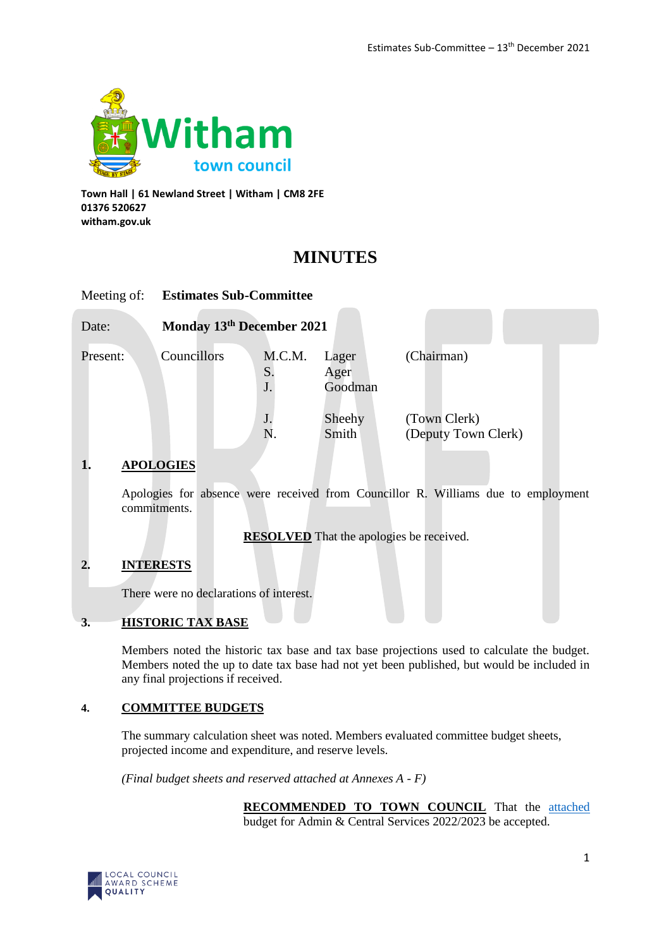

**Town Hall | 61 Newland Street | Witham | CM8 2FE 01376 520627 witham.gov.uk**

# **MINUTES**

| Meeting of: | <b>Estimates Sub-Committee</b> |                             |                          |                                     |
|-------------|--------------------------------|-----------------------------|--------------------------|-------------------------------------|
| Date:       | Monday 13th December 2021      |                             |                          |                                     |
| Present:    | Councillors                    | M.C.M.<br>$S_{\cdot}$<br>J. | Lager<br>Ager<br>Goodman | (Chairman)                          |
|             |                                | J.<br>N.                    | Sheehy<br>Smith          | (Town Clerk)<br>(Deputy Town Clerk) |

# **1. APOLOGIES**

Apologies for absence were received from Councillor R. Williams due to employment commitments.

**RESOLVED** That the apologies be received.

# **2. INTERESTS**

There were no declarations of interest.

#### **3. HISTORIC TAX BASE**

Members noted the historic tax base and tax base projections used to calculate the budget. Members noted the up to date tax base had not yet been published, but would be included in any final projections if received.

#### **4. COMMITTEE BUDGETS**

The summary calculation sheet was noted. Members evaluated committee budget sheets, projected income and expenditure, and reserve levels.

*(Final budget sheets and reserved attached at Annexes A - F)*

**RECOMMENDED TO TOWN COUNCIL** That the **attached** budget for Admin & Central Services 2022/2023 be accepted.

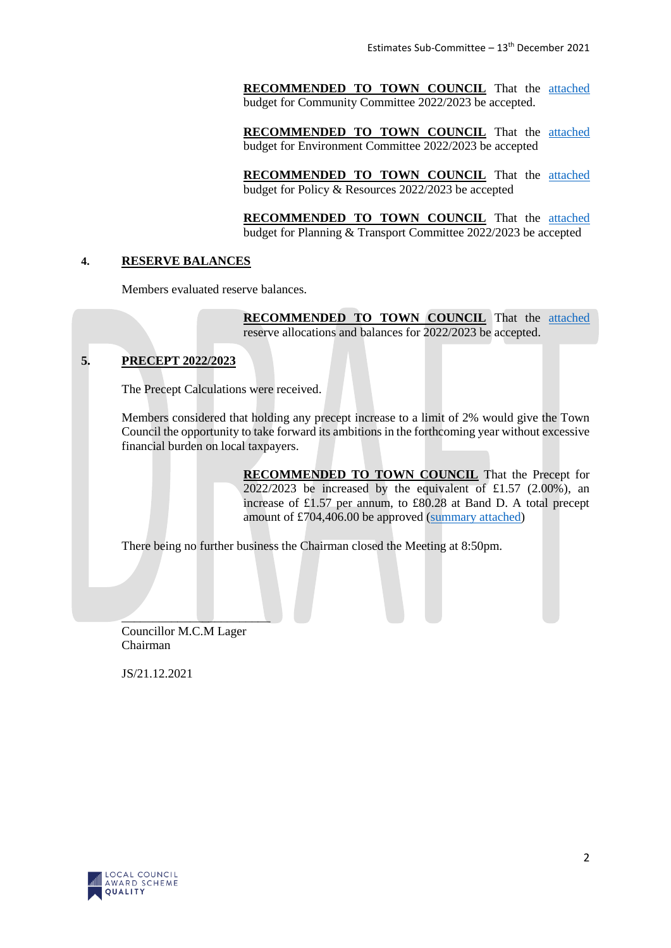**RECOMMENDED TO TOWN COUNCIL** That the **attached** budget for Community Committee 2022/2023 be accepted.

**RECOMMENDED TO TOWN COUNCIL** That the attached budget for Environment Committee 2022/2023 be accepted

**RECOMMENDED TO TOWN COUNCIL** That the attached budget for Policy & Resources 2022/2023 be accepted

**RECOMMENDED TO TOWN COUNCIL** That the attached budget for Planning & Transport Committee 2022/2023 be accepted

#### **4. RESERVE BALANCES**

Members evaluated reserve balances.

**RECOMMENDED TO TOWN COUNCIL** That the attached reserve allocations and balances for 2022/2023 be accepted.

# **5. PRECEPT 2022/2023**

The Precept Calculations were received.

Members considered that holding any precept increase to a limit of 2% would give the Town Council the opportunity to take forward its ambitions in the forthcoming year without excessive financial burden on local taxpayers.

> **RECOMMENDED TO TOWN COUNCIL** That the Precept for  $2022/2023$  be increased by the equivalent of £1.57 (2.00%), an increase of £1.57 per annum, to £80.28 at Band D. A total precept amount of £704,406.00 be approved (summary attached)

There being no further business the Chairman closed the Meeting at 8:50pm.

Councillor M.C.M Lager Chairman

 $\overline{\phantom{a}}$  ,  $\overline{\phantom{a}}$  ,  $\overline{\phantom{a}}$  ,  $\overline{\phantom{a}}$  ,  $\overline{\phantom{a}}$  ,  $\overline{\phantom{a}}$  ,  $\overline{\phantom{a}}$  ,  $\overline{\phantom{a}}$  ,  $\overline{\phantom{a}}$  ,  $\overline{\phantom{a}}$  ,  $\overline{\phantom{a}}$  ,  $\overline{\phantom{a}}$  ,  $\overline{\phantom{a}}$  ,  $\overline{\phantom{a}}$  ,  $\overline{\phantom{a}}$  ,  $\overline{\phantom{a}}$ 

JS/21.12.2021

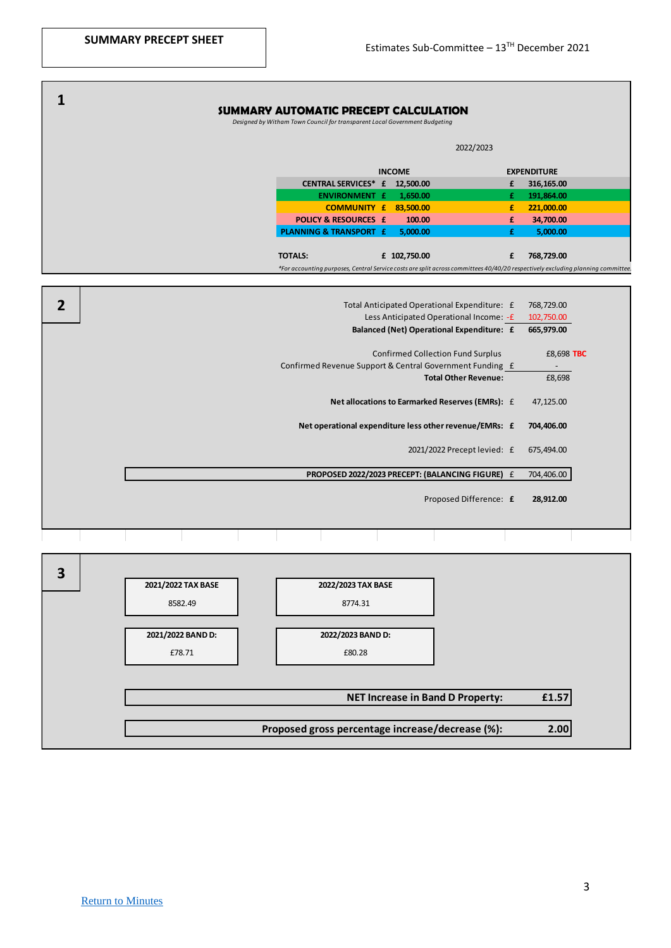|   | <b>SUMMARY AUTOMATIC PRECEPT CALCULATION</b><br>Designed by Witham Town Council for transparent Local Government Budgeting      |   |                    |  |  |  |  |  |  |  |
|---|---------------------------------------------------------------------------------------------------------------------------------|---|--------------------|--|--|--|--|--|--|--|
|   | 2022/2023                                                                                                                       |   |                    |  |  |  |  |  |  |  |
|   | <b>INCOME</b>                                                                                                                   |   | <b>EXPENDITURE</b> |  |  |  |  |  |  |  |
|   | CENTRAL SERVICES* £ 12,500.00                                                                                                   | £ | 316,165.00         |  |  |  |  |  |  |  |
|   | <b>ENVIRONMENT £</b><br>1,650.00                                                                                                | £ | 191,864.00         |  |  |  |  |  |  |  |
|   | <b>COMMUNITY £ 83,500.00</b>                                                                                                    | £ | 221,000.00         |  |  |  |  |  |  |  |
|   | <b>POLICY &amp; RESOURCES £</b><br>100.00                                                                                       | £ | 34,700.00          |  |  |  |  |  |  |  |
|   | <b>PLANNING &amp; TRANSPORT £</b><br>5,000.00                                                                                   | £ | 5,000.00           |  |  |  |  |  |  |  |
|   | <b>TOTALS:</b><br>£ 102,750.00                                                                                                  | £ | 768,729.00         |  |  |  |  |  |  |  |
|   | *For accounting purposes, Central Service costs are split across committees 40/40/20 respectively excluding planning committee. |   |                    |  |  |  |  |  |  |  |
|   |                                                                                                                                 |   |                    |  |  |  |  |  |  |  |
|   |                                                                                                                                 |   |                    |  |  |  |  |  |  |  |
| 2 | Total Anticipated Operational Expenditure: £                                                                                    |   | 768,729.00         |  |  |  |  |  |  |  |
|   | Less Anticipated Operational Income: - £                                                                                        |   | 102,750.00         |  |  |  |  |  |  |  |
|   | Balanced (Net) Operational Expenditure: £                                                                                       |   | 665,979.00         |  |  |  |  |  |  |  |
|   | <b>Confirmed Collection Fund Surplus</b>                                                                                        |   | £8,698 TBC         |  |  |  |  |  |  |  |
|   | Confirmed Revenue Support & Central Government Funding £                                                                        |   |                    |  |  |  |  |  |  |  |
|   | <b>Total Other Revenue:</b>                                                                                                     |   | £8,698             |  |  |  |  |  |  |  |
|   | Net allocations to Earmarked Reserves (EMRs): £                                                                                 |   | 47,125.00          |  |  |  |  |  |  |  |
|   | Net operational expenditure less other revenue/EMRs: £                                                                          |   | 704,406.00         |  |  |  |  |  |  |  |
|   | 2021/2022 Precept levied: £                                                                                                     |   | 675,494.00         |  |  |  |  |  |  |  |
|   | PROPOSED 2022/2023 PRECEPT: (BALANCING FIGURE) £                                                                                |   | 704,406.00         |  |  |  |  |  |  |  |
|   | Proposed Difference: £                                                                                                          |   | 28,912.00          |  |  |  |  |  |  |  |
|   |                                                                                                                                 |   |                    |  |  |  |  |  |  |  |
|   |                                                                                                                                 |   |                    |  |  |  |  |  |  |  |

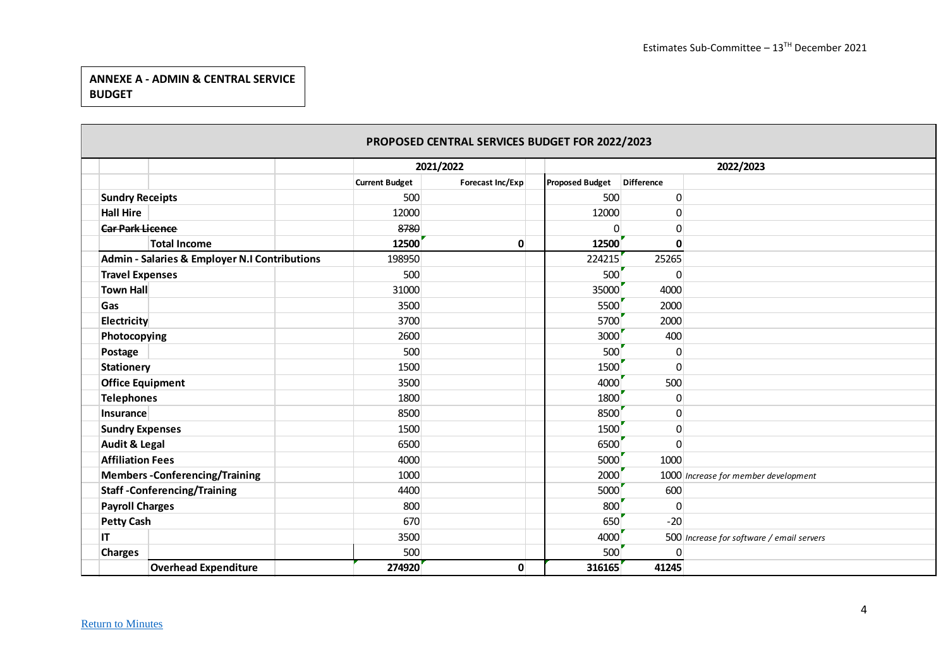# **ANNEXE A - ADMIN & CENTRAL SERVICE BUDGET**

|                                                          |                       | 2021/2022        |                        |                | 2022/2023                                 |
|----------------------------------------------------------|-----------------------|------------------|------------------------|----------------|-------------------------------------------|
|                                                          | <b>Current Budget</b> | Forecast Inc/Exp | <b>Proposed Budget</b> | Difference     |                                           |
| <b>Sundry Receipts</b>                                   | 500                   |                  | 500                    | 0              |                                           |
| <b>Hall Hire</b>                                         | 12000                 |                  | 12000                  | 0              |                                           |
| <b>Car Park Licence</b>                                  | 8780                  |                  | $\Omega$               | 0              |                                           |
| <b>Total Income</b>                                      | 12500                 | $\mathbf{0}$     | 12500                  | $\mathbf{0}$   |                                           |
| <b>Admin - Salaries &amp; Employer N.I Contributions</b> | 198950                |                  | 224215                 | 25265          |                                           |
| <b>Travel Expenses</b>                                   | 500                   |                  | 500                    | $\mathbf 0$    |                                           |
| <b>Town Hall</b>                                         | 31000                 |                  | 35000                  | 4000           |                                           |
| Gas                                                      | 3500                  |                  | 5500                   | 2000           |                                           |
| Electricity                                              | 3700                  |                  | 5700                   | 2000           |                                           |
| Photocopying                                             | 2600                  |                  | 3000                   | 400            |                                           |
| Postage                                                  | 500                   |                  | 500                    | $\mathbf 0$    |                                           |
| <b>Stationery</b>                                        | 1500                  |                  | 1500                   | 0              |                                           |
| <b>Office Equipment</b>                                  | 3500                  |                  | 4000                   | 500            |                                           |
| <b>Telephones</b>                                        | 1800                  |                  | 1800                   | 0              |                                           |
| Insurance                                                | 8500                  |                  | 8500                   | $\pmb{0}$      |                                           |
| <b>Sundry Expenses</b>                                   | 1500                  |                  | 1500                   | $\pmb{0}$      |                                           |
| <b>Audit &amp; Legal</b>                                 | 6500                  |                  | 6500                   | 0              |                                           |
| <b>Affiliation Fees</b>                                  | 4000                  |                  | 5000                   | 1000           |                                           |
| <b>Members-Conferencing/Training</b>                     | 1000                  |                  | 2000                   |                | 1000 Increase for member development      |
| <b>Staff-Conferencing/Training</b>                       | 4400                  |                  | 5000                   | 600            |                                           |
| <b>Payroll Charges</b>                                   | 800                   |                  | 800                    | $\overline{0}$ |                                           |
| <b>Petty Cash</b>                                        | 670                   |                  | 650                    | $-20$          |                                           |
| IT                                                       | 3500                  |                  | 4000                   |                | 500 Increase for software / email servers |
| <b>Charges</b>                                           | 500                   |                  | 500                    | 0              |                                           |
| <b>Overhead Expenditure</b>                              | 274920                | $\mathbf{0}$     | 316165                 | 41245          |                                           |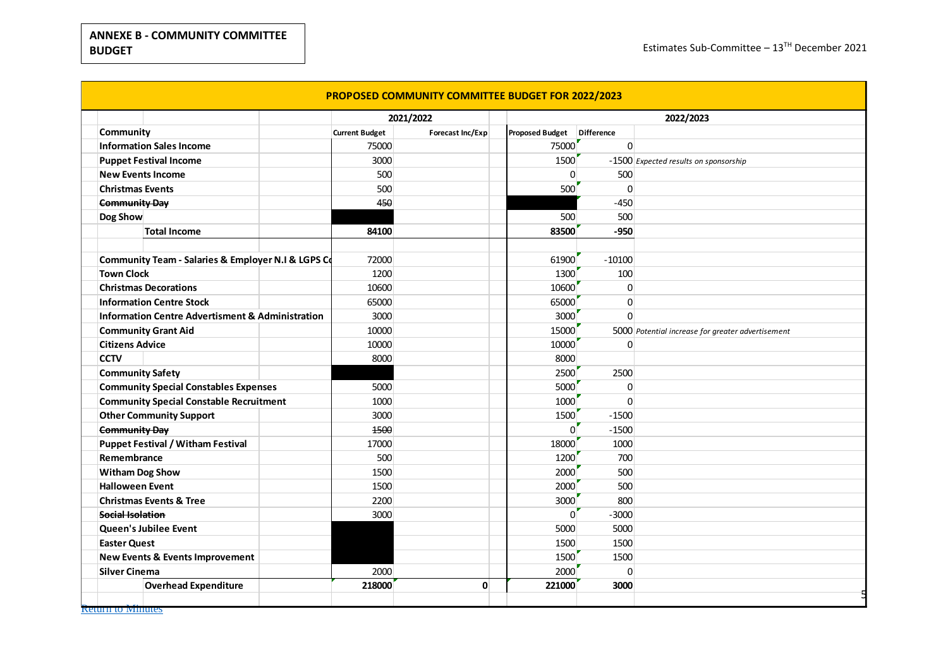|                                                             |                       | 2021/2022        | 2022/2023              |                   |                                                   |  |
|-------------------------------------------------------------|-----------------------|------------------|------------------------|-------------------|---------------------------------------------------|--|
| Community                                                   | <b>Current Budget</b> | Forecast Inc/Exp | <b>Proposed Budget</b> | <b>Difference</b> |                                                   |  |
| <b>Information Sales Income</b>                             | 75000                 |                  | 75000                  | $\Omega$          |                                                   |  |
| <b>Puppet Festival Income</b>                               | 3000                  |                  | 1500                   |                   | -1500 Expected results on sponsorship             |  |
| <b>New Events Income</b>                                    | 500                   |                  | $\Omega$               | 500               |                                                   |  |
| <b>Christmas Events</b>                                     | 500                   |                  | 500                    | $\Omega$          |                                                   |  |
| <b>Community Day</b>                                        | 450                   |                  |                        | $-450$            |                                                   |  |
| Dog Show                                                    |                       |                  | 500                    | 500               |                                                   |  |
| <b>Total Income</b>                                         | 84100                 |                  | 83500                  | $-950$            |                                                   |  |
| Community Team - Salaries & Employer N.I & LGPS Co          | 72000                 |                  | 61900                  | $-10100$          |                                                   |  |
| <b>Town Clock</b>                                           | 1200                  |                  | 1300                   | 100               |                                                   |  |
| <b>Christmas Decorations</b>                                | 10600                 |                  | 10600                  | $\mathbf 0$       |                                                   |  |
| <b>Information Centre Stock</b>                             | 65000                 |                  | 65000                  | $\mathbf 0$       |                                                   |  |
| <b>Information Centre Advertisment &amp; Administration</b> | 3000                  |                  | 3000                   | $\Omega$          |                                                   |  |
| <b>Community Grant Aid</b>                                  | 10000                 |                  | 15000                  |                   | 5000 Potential increase for greater advertisement |  |
| <b>Citizens Advice</b>                                      | 10000                 |                  | 10000                  | 0                 |                                                   |  |
| <b>CCTV</b>                                                 | 8000                  |                  | 8000                   |                   |                                                   |  |
| <b>Community Safety</b>                                     |                       |                  | 2500                   | 2500              |                                                   |  |
| <b>Community Special Constables Expenses</b>                | 5000                  |                  | 5000                   | $\Omega$          |                                                   |  |
| <b>Community Special Constable Recruitment</b>              | 1000                  |                  | 1000                   | $\Omega$          |                                                   |  |
| <b>Other Community Support</b>                              | 3000                  |                  | 1500                   | $-1500$           |                                                   |  |
| <b>Community Day</b>                                        | 1500                  |                  | $\Omega$               | $-1500$           |                                                   |  |
| <b>Puppet Festival / Witham Festival</b>                    | 17000                 |                  | 18000                  | 1000              |                                                   |  |
| Remembrance                                                 | 500                   |                  | 1200                   | 700               |                                                   |  |
| <b>Witham Dog Show</b>                                      | 1500                  |                  | 2000                   | 500               |                                                   |  |
| <b>Halloween Event</b>                                      | 1500                  |                  | 2000                   | 500               |                                                   |  |
| <b>Christmas Events &amp; Tree</b>                          | 2200                  |                  | 3000                   | 800               |                                                   |  |
| Social Isolation                                            | 3000                  |                  | $\Omega$               | $-3000$           |                                                   |  |
| Queen's Jubilee Event                                       |                       |                  | 5000                   | 5000              |                                                   |  |
| <b>Easter Quest</b>                                         |                       |                  | 1500                   | 1500              |                                                   |  |
| New Events & Events Improvement                             |                       |                  | 1500                   | 1500              |                                                   |  |
| <b>Silver Cinema</b>                                        | 2000                  |                  | 2000                   | $\Omega$          |                                                   |  |
| <b>Overhead Expenditure</b>                                 | 218000                | $\mathbf{0}$     | 221000                 | 3000              |                                                   |  |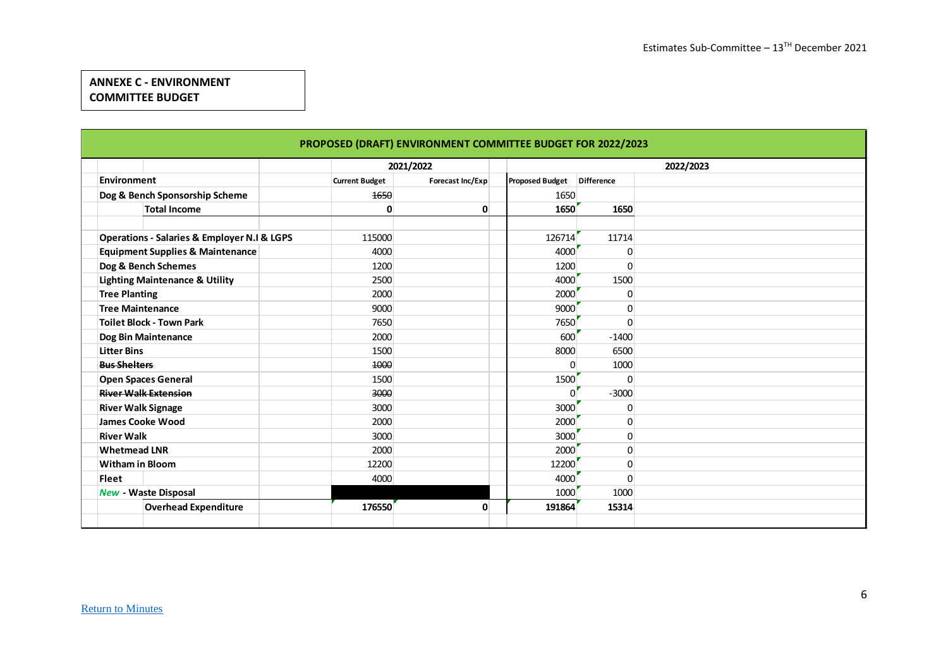# **ANNEXE C - ENVIRONMENT COMMITTEE BUDGET**

| PROPOSED (DRAFT) ENVIRONMENT COMMITTEE BUDGET FOR 2022/2023 |                       |           |                  |  |                        |                   |           |  |  |  |
|-------------------------------------------------------------|-----------------------|-----------|------------------|--|------------------------|-------------------|-----------|--|--|--|
|                                                             |                       | 2021/2022 |                  |  |                        |                   | 2022/2023 |  |  |  |
| <b>Environment</b>                                          | <b>Current Budget</b> |           | Forecast Inc/Exp |  | <b>Proposed Budget</b> | <b>Difference</b> |           |  |  |  |
| Dog & Bench Sponsorship Scheme                              |                       | 1650      |                  |  | 1650                   |                   |           |  |  |  |
| <b>Total Income</b>                                         |                       | 0         | 0                |  | 1650                   | 1650              |           |  |  |  |
|                                                             |                       |           |                  |  |                        |                   |           |  |  |  |
| <b>Operations - Salaries &amp; Employer N.I &amp; LGPS</b>  |                       | 115000    |                  |  | 126714                 | 11714             |           |  |  |  |
| <b>Equipment Supplies &amp; Maintenance</b>                 |                       | 4000      |                  |  | 4000                   | 0                 |           |  |  |  |
| Dog & Bench Schemes                                         |                       | 1200      |                  |  | 1200                   | $\mathbf{0}$      |           |  |  |  |
| <b>Lighting Maintenance &amp; Utility</b>                   |                       | 2500      |                  |  | 4000                   | 1500              |           |  |  |  |
| <b>Tree Planting</b>                                        |                       | 2000      |                  |  | 2000                   | 0                 |           |  |  |  |
| <b>Tree Maintenance</b>                                     |                       | 9000      |                  |  | 9000                   | $\mathbf 0$       |           |  |  |  |
| <b>Toilet Block - Town Park</b>                             |                       | 7650      |                  |  | 7650                   | $\mathbf{0}$      |           |  |  |  |
| Dog Bin Maintenance                                         |                       | 2000      |                  |  | 600                    | $-1400$           |           |  |  |  |
| <b>Litter Bins</b>                                          |                       | 1500      |                  |  | 8000                   | 6500              |           |  |  |  |
| <b>Bus Shelters</b>                                         |                       | 4000      |                  |  | $\Omega$               | 1000              |           |  |  |  |
| <b>Open Spaces General</b>                                  |                       | 1500      |                  |  | 1500                   | 0                 |           |  |  |  |
| <b>River Walk Extension</b>                                 |                       | 3000      |                  |  | O                      | $-3000$           |           |  |  |  |
| <b>River Walk Signage</b>                                   |                       | 3000      |                  |  | 3000                   | $\mathbf{0}$      |           |  |  |  |
| <b>James Cooke Wood</b>                                     |                       | 2000      |                  |  | 2000                   | $\mathbf 0$       |           |  |  |  |
| <b>River Walk</b>                                           |                       | 3000      |                  |  | 3000                   | $\mathbf{0}$      |           |  |  |  |
| <b>Whetmead LNR</b>                                         |                       | 2000      |                  |  | 2000                   | $\mathbf 0$       |           |  |  |  |
| <b>Witham in Bloom</b>                                      |                       | 12200     |                  |  | 12200                  | $\pmb{0}$         |           |  |  |  |
| <b>Fleet</b>                                                |                       | 4000      |                  |  | 4000                   | 0                 |           |  |  |  |
| New - Waste Disposal                                        |                       |           |                  |  | 1000                   | 1000              |           |  |  |  |
| <b>Overhead Expenditure</b>                                 |                       | 176550    | 0                |  | 191864                 | 15314             |           |  |  |  |
|                                                             |                       |           |                  |  |                        |                   |           |  |  |  |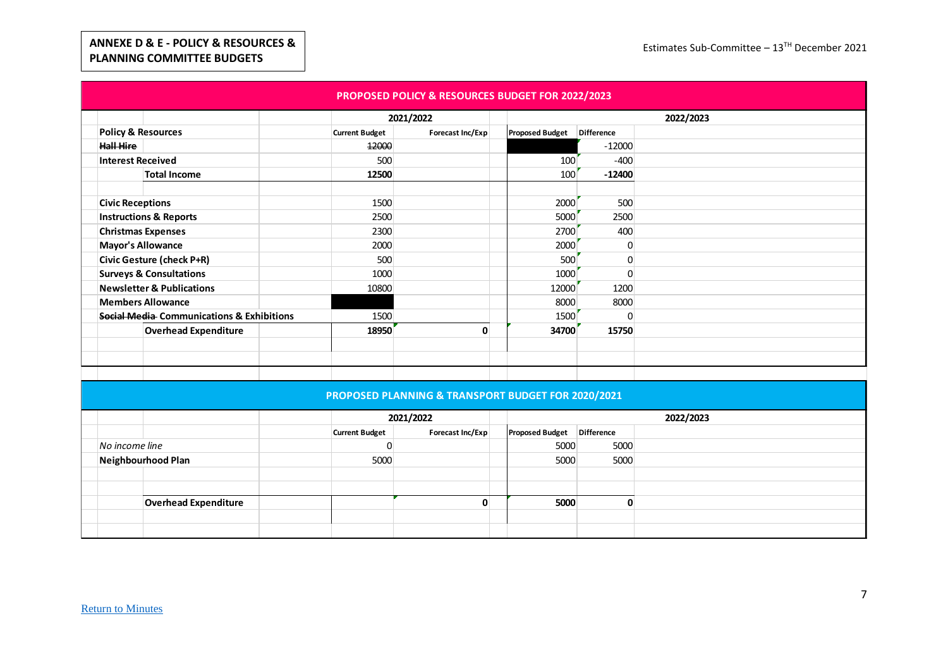### **ANNEXE D & E - POLICY & RESOURCES & PLANNING COMMITTEE BUDGETS**

|                                   |                                           |                       | PROPOSED POLICY & RESOURCES BUDGET FOR 2022/2023 |                        |            |           |
|-----------------------------------|-------------------------------------------|-----------------------|--------------------------------------------------|------------------------|------------|-----------|
|                                   |                                           |                       | 2021/2022                                        |                        |            | 2022/2023 |
| <b>Policy &amp; Resources</b>     |                                           | <b>Current Budget</b> | Forecast Inc/Exp                                 | <b>Proposed Budget</b> | Difference |           |
| Hall Hire                         |                                           | 12000                 |                                                  |                        | $-12000$   |           |
| <b>Interest Received</b>          |                                           | 500                   |                                                  | 100                    | $-400$     |           |
|                                   | <b>Total Income</b>                       | 12500                 |                                                  | 100                    | $-12400$   |           |
|                                   |                                           |                       |                                                  |                        |            |           |
| <b>Civic Receptions</b>           |                                           | 1500                  |                                                  | 2000                   | 500        |           |
| <b>Instructions &amp; Reports</b> |                                           | 2500                  |                                                  | 5000                   | 2500       |           |
|                                   | <b>Christmas Expenses</b>                 | 2300                  |                                                  | 2700                   | 400        |           |
| <b>Mayor's Allowance</b>          |                                           | 2000                  |                                                  | 2000                   |            |           |
|                                   | <b>Civic Gesture (check P+R)</b>          | 500                   |                                                  | 500                    | 0          |           |
|                                   | <b>Surveys &amp; Consultations</b>        | 1000                  |                                                  | 1000                   |            |           |
|                                   | <b>Newsletter &amp; Publications</b>      | 10800                 |                                                  | 12000                  | 1200       |           |
| <b>Members Allowance</b>          |                                           |                       |                                                  | 8000                   | 8000       |           |
|                                   | Social Media Communications & Exhibitions | 1500                  |                                                  | 1500                   |            |           |
|                                   | <b>Overhead Expenditure</b>               | 18950                 | 0                                                | 34700                  | 15750      |           |
|                                   |                                           |                       |                                                  |                        |            |           |
|                                   |                                           |                       |                                                  |                        |            |           |
|                                   |                                           |                       |                                                  |                        |            |           |

#### **PROPOSED PLANNING & TRANSPORT BUDGET FOR 2020/2021**

|                    |                             | 2021/2022             |                  |  |                            |      | 2022/2023 |
|--------------------|-----------------------------|-----------------------|------------------|--|----------------------------|------|-----------|
|                    |                             | <b>Current Budget</b> | Forecast Inc/Exp |  | Proposed Budget Difference |      |           |
| No income line     |                             |                       |                  |  | 5000                       | 5000 |           |
| Neighbourhood Plan |                             | 5000                  |                  |  | 5000<br>5000               |      |           |
|                    |                             |                       |                  |  |                            |      |           |
|                    |                             |                       |                  |  |                            |      |           |
|                    | <b>Overhead Expenditure</b> |                       |                  |  | 5000                       |      |           |
|                    |                             |                       |                  |  |                            |      |           |
|                    |                             |                       |                  |  |                            |      |           |